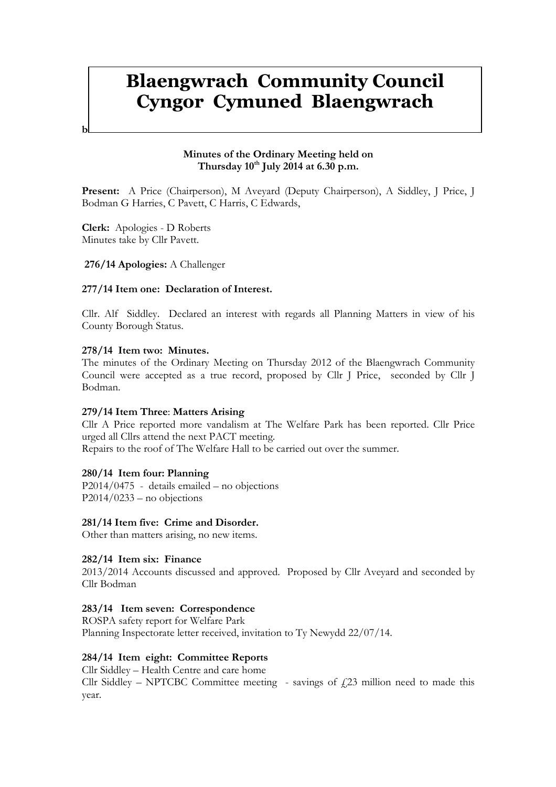# Blaengwrach Community Council Cyngor Cymuned Blaengwrach

## Minutes of the Ordinary Meeting held on Thursday  $10^{th}$  July 2014 at 6.30 p.m.

Present: A Price (Chairperson), M Aveyard (Deputy Chairperson), A Siddley, J Price, J Bodman G Harries, C Pavett, C Harris, C Edwards,

Clerk: Apologies - D Roberts Minutes take by Cllr Pavett.

 $\mathbf{r}$ 

## 276/14 Apologies: A Challenger

## 277/14 Item one: Declaration of Interest.

Cllr. Alf Siddley. Declared an interest with regards all Planning Matters in view of his County Borough Status.

#### 278/14 Item two: Minutes.

The minutes of the Ordinary Meeting on Thursday 2012 of the Blaengwrach Community Council were accepted as a true record, proposed by Cllr J Price, seconded by Cllr J Bodman.

## 279/14 Item Three: Matters Arising

Cllr A Price reported more vandalism at The Welfare Park has been reported. Cllr Price urged all Cllrs attend the next PACT meeting.

Repairs to the roof of The Welfare Hall to be carried out over the summer.

## 280/14 Item four: Planning

P2014/0475 - details emailed – no objections  $P2014/0233$  – no objections

## 281/14 Item five: Crime and Disorder.

Other than matters arising, no new items.

#### 282/14 Item six: Finance

2013/2014 Accounts discussed and approved. Proposed by Cllr Aveyard and seconded by Cllr Bodman

### 283/14 Item seven: Correspondence

ROSPA safety report for Welfare Park Planning Inspectorate letter received, invitation to Ty Newydd 22/07/14.

## 284/14 Item eight: Committee Reports

Cllr Siddley – Health Centre and care home

Cllr Siddley – NPTCBC Committee meeting - savings of  $\text{\emph{f}}23$  million need to made this year.